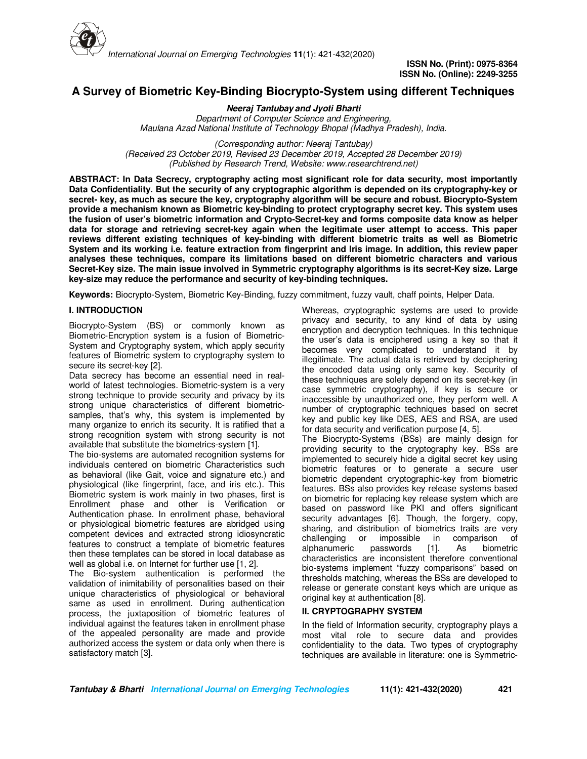

**ISSN No. (Print): 0975-8364 ISSN No. (Online): 2249-3255** 

# **A Survey of Biometric Key-Binding Biocrypto-System using different Techniques**

**Neeraj Tantubay and Jyoti Bharti** *Department of Computer Science and Engineering, Maulana Azad National Institute of Technology Bhopal (Madhya Pradesh), India.*

*(Corresponding author: Neeraj Tantubay) (Received 23 October 2019, Revised 23 December 2019, Accepted 28 December 2019) (Published by Research Trend, Website: www.researchtrend.net)*

**ABSTRACT: In Data Secrecy, cryptography acting most significant role for data security, most importantly Data Confidentiality. But the security of any cryptographic algorithm is depended on its cryptography-key or secret- key, as much as secure the key, cryptography algorithm will be secure and robust. Biocrypto-System provide a mechanism known as Biometric key-binding to protect cryptography secret key. This system uses the fusion of user's biometric information and Crypto-Secret-key and forms composite data know as helper data for storage and retrieving secret-key again when the legitimate user attempt to access. This paper reviews different existing techniques of key-binding with different biometric traits as well as Biometric System and its working i.e. feature extraction from fingerprint and Iris image. In addition, this review paper analyses these techniques, compare its limitations based on different biometric characters and various Secret-Key size. The main issue involved in Symmetric cryptography algorithms is its secret-Key size. Large key-size may reduce the performance and security of key-binding techniques.** 

**Keywords:** Biocrypto-System, Biometric Key-Binding, fuzzy commitment, fuzzy vault, chaff points, Helper Data.

# **I. INTRODUCTION**

Biocrypto-System (BS) or commonly known as Biometric-Encryption system is a fusion of Biometric-System and Cryptography system, which apply security features of Biometric system to cryptography system to secure its secret-key [2].

Data secrecy has become an essential need in realworld of latest technologies. Biometric-system is a very strong technique to provide security and privacy by its strong unique characteristics of different biometricsamples, that's why, this system is implemented by many organize to enrich its security. It is ratified that a strong recognition system with strong security is not available that substitute the biometrics-system [1].

The bio-systems are automated recognition systems for individuals centered on biometric Characteristics such as behavioral (like Gait, voice and signature etc.) and physiological (like fingerprint, face, and iris etc.). This Biometric system is work mainly in two phases, first is Enrollment phase and other is Verification or Authentication phase. In enrollment phase, behavioral or physiological biometric features are abridged using competent devices and extracted strong idiosyncratic features to construct a template of biometric features then these templates can be stored in local database as well as global i.e. on Internet for further use [1, 2].

The Bio-system authentication is performed the validation of inimitability of personalities based on their unique characteristics of physiological or behavioral same as used in enrollment. During authentication process, the juxtaposition of biometric features of individual against the features taken in enrollment phase of the appealed personality are made and provide authorized access the system or data only when there is satisfactory match [3].

Whereas, cryptographic systems are used to provide privacy and security, to any kind of data by using encryption and decryption techniques. In this technique the user's data is enciphered using a key so that it becomes very complicated to understand it by illegitimate. The actual data is retrieved by deciphering the encoded data using only same key. Security of these techniques are solely depend on its secret-key (in case symmetric cryptography), if key is secure or inaccessible by unauthorized one, they perform well. A number of cryptographic techniques based on secret key and public key like DES, AES and RSA, are used for data security and verification purpose [4, 5]. The Biocrypto-Systems (BSs) are mainly design for providing security to the cryptography key. BSs are implemented to securely hide a digital secret key using biometric features or to generate a secure user biometric dependent cryptographic-key from biometric features. BSs also provides key release systems based on biometric for replacing key release system which are based on password like PKI and offers significant security advantages [6]. Though, the forgery, copy, sharing, and distribution of biometrics traits are very challenging or impossible in comparison of alphanumeric passwords [1]. As biometric characteristics are inconsistent therefore conventional bio-systems implement "fuzzy comparisons" based on thresholds matching, whereas the BSs are developed to release or generate constant keys which are unique as

# original key at authentication [8]. **II. CRYPTOGRAPHY SYSTEM**

In the field of Information security, cryptography plays a most vital role to secure data and provides confidentiality to the data. Two types of cryptography techniques are available in literature: one is Symmetric-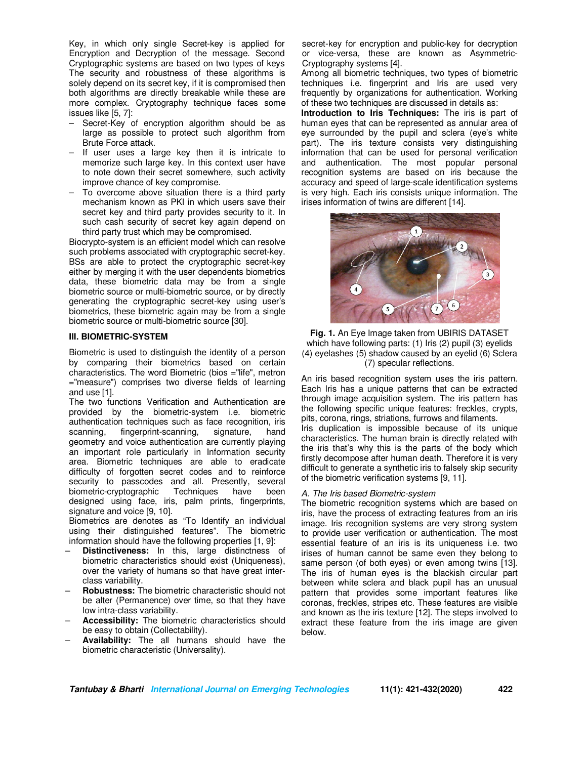Key, in which only single Secret-key is applied for Encryption and Decryption of the message. Second Cryptographic systems are based on two types of keys The security and robustness of these algorithms is solely depend on its secret key, if it is compromised then both algorithms are directly breakable while these are more complex. Cryptography technique faces some issues like [5, 7]:

- Secret-Key of encryption algorithm should be as large as possible to protect such algorithm from Brute Force attack.
- If user uses a large key then it is intricate to memorize such large key. In this context user have to note down their secret somewhere, such activity improve chance of key compromise.
- To overcome above situation there is a third party mechanism known as PKI in which users save their secret key and third party provides security to it. In such cash security of secret key again depend on third party trust which may be compromised.

Biocrypto-system is an efficient model which can resolve such problems associated with cryptographic secret-key. BSs are able to protect the cryptographic secret-key either by merging it with the user dependents biometrics data, these biometric data may be from a single biometric source or multi-biometric source, or by directly generating the cryptographic secret-key using user's biometrics, these biometric again may be from a single biometric source or multi-biometric source [30].

# **III. BIOMETRIC-SYSTEM**

Biometric is used to distinguish the identity of a person by comparing their biometrics based on certain characteristics. The word Biometric (bios ="life", metron ="measure") comprises two diverse fields of learning and use [1].

The two functions Verification and Authentication are provided by the biometric-system i.e. biometric authentication techniques such as face recognition, iris scanning, fingerprint-scanning, signature, hand geometry and voice authentication are currently playing an important role particularly in Information security area. Biometric techniques are able to eradicate difficulty of forgotten secret codes and to reinforce security to passcodes and all. Presently, several biometric-cryptographic Techniques have been biometric-cryptographic designed using face, iris, palm prints, fingerprints, signature and voice [9, 10].

Biometrics are denotes as "To Identify an individual using their distinguished features". The biometric information should have the following properties [1, 9]:

- **Distinctiveness:** In this, large distinctness of biometric characteristics should exist (Uniqueness), over the variety of humans so that have great interclass variability.
- **Robustness:** The biometric characteristic should not be alter (Permanence) over time, so that they have low intra-class variability.
- **Accessibility:** The biometric characteristics should be easy to obtain (Collectability).
- **Availability:** The all humans should have the biometric characteristic (Universality).

secret-key for encryption and public-key for decryption or vice-versa, these are known as Asymmetric-Cryptography systems [4].

Among all biometric techniques, two types of biometric techniques i.e. fingerprint and Iris are used very frequently by organizations for authentication. Working of these two techniques are discussed in details as:

**Introduction to Iris Techniques:** The iris is part of human eyes that can be represented as annular area of eye surrounded by the pupil and sclera (eye's white part). The iris texture consists very distinguishing information that can be used for personal verification and authentication. The most popular personal recognition systems are based on iris because the accuracy and speed of large-scale identification systems is very high. Each iris consists unique information. The irises information of twins are different [14].



**Fig. 1.** An Eye Image taken from UBIRIS DATASET which have following parts: (1) Iris (2) pupil (3) eyelids (4) eyelashes (5) shadow caused by an eyelid (6) Sclera (7) specular reflections.

An iris based recognition system uses the iris pattern. Each Iris has a unique patterns that can be extracted through image acquisition system. The iris pattern has the following specific unique features: freckles, crypts, pits, corona, rings, striations, furrows and filaments. Iris duplication is impossible because of its unique characteristics. The human brain is directly related with the iris that's why this is the parts of the body which firstly decompose after human death. Therefore it is very difficult to generate a synthetic iris to falsely skip security of the biometric verification systems [9, 11].

# *A. The Iris based Biometric-system*

The biometric recognition systems which are based on iris, have the process of extracting features from an iris image. Iris recognition systems are very strong system to provide user verification or authentication. The most essential feature of an iris is its uniqueness i.e. two irises of human cannot be same even they belong to same person (of both eyes) or even among twins [13]. The iris of human eyes is the blackish circular part between white sclera and black pupil has an unusual pattern that provides some important features like coronas, freckles, stripes etc. These features are visible and known as the iris texture [12]. The steps involved to extract these feature from the iris image are given below.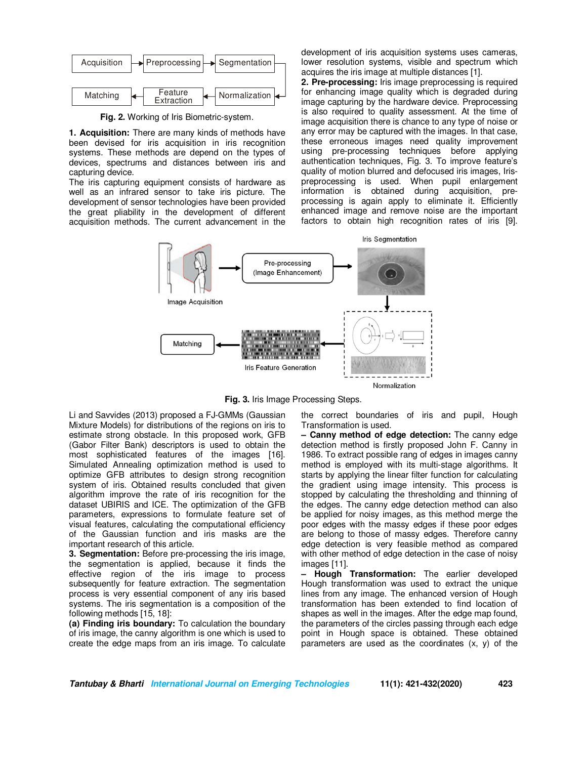

**Fig. 2.** Working of Iris Biometric-system.

**1. Acquisition:** There are many kinds of methods have been devised for iris acquisition in iris recognition systems. These methods are depend on the types of devices, spectrums and distances between iris and capturing device.

The iris capturing equipment consists of hardware as well as an infrared sensor to take iris picture. The development of sensor technologies have been provided the great pliability in the development of different acquisition methods. The current advancement in the

development of iris acquisition systems uses cameras, lower resolution systems, visible and spectrum which acquires the iris image at multiple distances [1].

**2. Pre-processing:** Iris image preprocessing is required for enhancing image quality which is degraded during image capturing by the hardware device. Preprocessing is also required to quality assessment. At the time of image acquisition there is chance to any type of noise or any error may be captured with the images. In that case, these erroneous images need quality improvement using pre-processing techniques before applying authentication techniques, Fig. 3. To improve feature's quality of motion blurred and defocused iris images, Irispreprocessing is used. When pupil enlargement information is obtained during acquisition, preprocessing is again apply to eliminate it. Efficiently enhanced image and remove noise are the important factors to obtain high recognition rates of iris [9].



**Fig. 3.** Iris Image Processing Steps.

Li and Savvides (2013) proposed a FJ-GMMs (Gaussian Mixture Models) for distributions of the regions on iris to estimate strong obstacle. In this proposed work, GFB (Gabor Filter Bank) descriptors is used to obtain the most sophisticated features of the images [16]. Simulated Annealing optimization method is used to optimize GFB attributes to design strong recognition system of iris. Obtained results concluded that given algorithm improve the rate of iris recognition for the dataset UBIRIS and ICE. The optimization of the GFB parameters, expressions to formulate feature set of visual features, calculating the computational efficiency of the Gaussian function and iris masks are the important research of this article.

**3. Segmentation:** Before pre-processing the iris image, the segmentation is applied, because it finds the effective region of the iris image to process subsequently for feature extraction. The segmentation process is very essential component of any iris based systems. The iris segmentation is a composition of the following methods [15, 18]:

**(a) Finding iris boundary:** To calculation the boundary of iris image, the canny algorithm is one which is used to create the edge maps from an iris image. To calculate the correct boundaries of iris and pupil, Hough Transformation is used.

**– Canny method of edge detection:** The canny edge detection method is firstly proposed John F. Canny in 1986. To extract possible rang of edges in images canny method is employed with its multi-stage algorithms. It starts by applying the linear filter function for calculating the gradient using image intensity. This process is stopped by calculating the thresholding and thinning of the edges. The canny edge detection method can also be applied for noisy images, as this method merge the poor edges with the massy edges if these poor edges are belong to those of massy edges. Therefore canny edge detection is very feasible method as compared with other method of edge detection in the case of noisy images [11].

**– Hough Transformation:** The earlier developed Hough transformation was used to extract the unique lines from any image. The enhanced version of Hough transformation has been extended to find location of shapes as well in the images. After the edge map found, the parameters of the circles passing through each edge point in Hough space is obtained. These obtained parameters are used as the coordinates (x, y) of the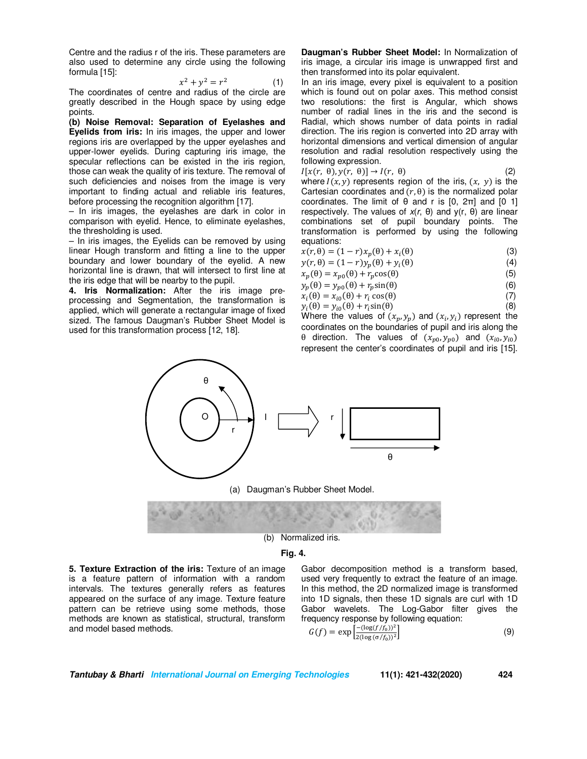Centre and the radius r of the iris. These parameters are also used to determine any circle using the following formula [15]:

$$
x^2 + y^2 = r^2 \tag{1}
$$

The coordinates of centre and radius of the circle are greatly described in the Hough space by using edge points.

**(b) Noise Removal: Separation of Eyelashes and Eyelids from iris:** In iris images, the upper and lower regions iris are overlapped by the upper eyelashes and upper-lower eyelids. During capturing iris image, the specular reflections can be existed in the iris region, those can weak the quality of iris texture. The removal of such deficiencies and noises from the image is very important to finding actual and reliable iris features, before processing the recognition algorithm [17].

– In iris images, the eyelashes are dark in color in comparison with eyelid. Hence, to eliminate eyelashes, the thresholding is used.

– In iris images, the Eyelids can be removed by using linear Hough transform and fitting a line to the upper boundary and lower boundary of the eyelid. A new horizontal line is drawn, that will intersect to first line at the iris edge that will be nearby to the pupil.

**4. Iris Normalization:** After the iris image preprocessing and Segmentation, the transformation is applied, which will generate a rectangular image of fixed sized. The famous Daugman's Rubber Sheet Model is used for this transformation process [12, 18].

**Daugman's Rubber Sheet Model:** In Normalization of iris image, a circular iris image is unwrapped first and then transformed into its polar equivalent.

In an iris image, every pixel is equivalent to a position which is found out on polar axes. This method consist two resolutions: the first is Angular, which shows number of radial lines in the iris and the second is Radial, which shows number of data points in radial direction. The iris region is converted into 2D array with horizontal dimensions and vertical dimension of angular resolution and radial resolution respectively using the following expression.

$$
I[x(r, \theta), y(r, \theta)] \to I(r, \theta) \tag{2}
$$

where  $I(x, y)$  represents region of the iris,  $(x, y)$  is the Cartesian coordinates and  $(r, \theta)$  is the normalized polar coordinates. The limit of  $θ$  and r is  $[0, 2π]$  and  $[0, 1]$ respectively. The values of *x*(*r*, θ) and y(r, θ) are linear combinations set of pupil boundary points. The transformation is performed by using the following equations:

| $x(r, \theta) = (1 - r)x_p(\theta) + x_i(\theta)$ | (3) |
|---------------------------------------------------|-----|
| $y(r, \theta) = (1-r)y_p(\theta) + y_i(\theta)$   | (4) |
| $x_p(\theta) = x_{p0}(\theta) + r_p \cos(\theta)$ | (5) |

$$
y_p(\theta) = y_{p0}(\theta) + r_p \sin(\theta)
$$
 (6)

$$
x_i(\theta) = x_{i0}(\theta) + r_i \cos(\theta) \tag{7}
$$

 $y_i(\theta) = y_{i0}(\theta) + r_i \sin(\theta)$  $\theta$ ) (8) Where the values of  $(x_p, y_p)$  and  $(x_i, y_i)$  represent the coordinates on the boundaries of pupil and iris along the θ direction. The values of  $(x_{p0}, y_{p0})$  and  $(x_{i0}, y_{i0})$ represent the center's coordinates of pupil and iris [15].



**Fig. 4.**

**5. Texture Extraction of the iris:** Texture of an image is a feature pattern of information with a random intervals. The textures generally refers as features appeared on the surface of any image. Texture feature pattern can be retrieve using some methods, those methods are known as statistical, structural, transform and model based methods.

Gabor decomposition method is a transform based, used very frequently to extract the feature of an image. In this method, the 2D normalized image is transformed into 1D signals, then these 1D signals are curl with 1D Gabor wavelets. The Log-Gabor filter gives the frequency response by following equation:

$$
G(f) = \exp\left[\frac{-(\log(f/f_0))^2}{2(\log(\sigma/f_0))^2}\right]
$$
 (9)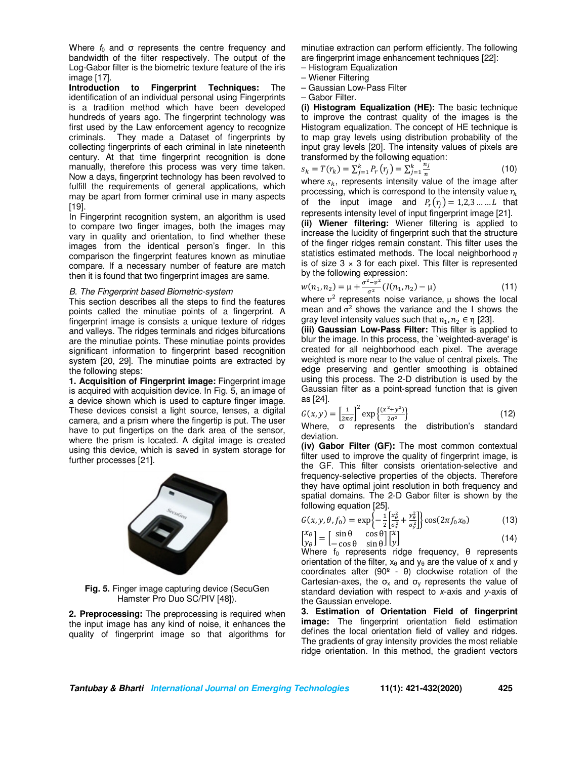Where  $f_0$  and  $\sigma$  represents the centre frequency and bandwidth of the filter respectively. The output of the Log-Gabor filter is the biometric texture feature of the iris image [17].

**Introduction to Fingerprint Techniques:** The identification of an individual personal using Fingerprints is a tradition method which have been developed hundreds of years ago. The fingerprint technology was first used by the Law enforcement agency to recognize criminals. They made a Dataset of fingerprints by They made a Dataset of fingerprints by collecting fingerprints of each criminal in late nineteenth century. At that time fingerprint recognition is done manually, therefore this process was very time taken. Now a days, fingerprint technology has been revolved to fulfill the requirements of general applications, which may be apart from former criminal use in many aspects [19].

In Fingerprint recognition system, an algorithm is used to compare two finger images, both the images may vary in quality and orientation, to find whether these images from the identical person's finger. In this comparison the fingerprint features known as minutiae compare. If a necessary number of feature are match then it is found that two fingerprint images are same.

#### *B. The Fingerprint based Biometric-system*

This section describes all the steps to find the features points called the minutiae points of a fingerprint. A fingerprint image is consists a unique texture of ridges and valleys. The ridges terminals and ridges bifurcations are the minutiae points. These minutiae points provides significant information to fingerprint based recognition system [20, 29]. The minutiae points are extracted by the following steps:

**1. Acquisition of Fingerprint image:** Fingerprint image is acquired with acquisition device. In Fig. 5, an image of a device shown which is used to capture finger image. These devices consist a light source, lenses, a digital camera, and a prism where the fingertip is put. The user have to put fingertips on the dark area of the sensor, where the prism is located. A digital image is created using this device, which is saved in system storage for further processes [21].



**Fig. 5.** Finger image capturing device (SecuGen Hamster Pro Duo SC/PIV [48]).

**2. Preprocessing:** The preprocessing is required when the input image has any kind of noise, it enhances the quality of fingerprint image so that algorithms for

minutiae extraction can perform efficiently. The following are fingerprint image enhancement techniques [22]:

- Histogram Equalization
- Wiener Filtering
- Gaussian Low-Pass Filter
- Gabor Filter.

**(i) Histogram Equalization (HE):** The basic technique to improve the contrast quality of the images is the Histogram equalization. The concept of HE technique is to map gray levels using distribution probability of the input gray levels [20]. The intensity values of pixels are transformed by the following equation:

$$
s_k = T(r_k) = \sum_{j=1}^k P_r(r_j) = \sum_{j=1}^k \frac{n_j}{n}
$$
 (10)

where  $s_k$ , represents intensity value of the image after processing, which is correspond to the intensity value  $r_{\nu}$ of the input image and  $P_r(r_i) = 1,2,3,...,L$  that represents intensity level of input fingerprint image [21].

**(ii) Wiener filtering:** Wiener filtering is applied to increase the lucidity of fingerprint such that the structure of the finger ridges remain constant. This filter uses the statistics estimated methods. The local neighborhood  $\eta$ is of size  $3 \times 3$  for each pixel. This filter is represented by the following expression:

$$
w(n_1, n_2) = \mu + \frac{\sigma^2 - v^2}{\sigma^2} (I(n_1, n_2) - \mu)
$$
\n(11)

where  $v^2$  represents noise variance, μ shows the local mean and  $\sigma^2$  shows the variance and the I shows the gray level intensity values such that  $n_1, n_2 \in \eta$  [23].

**(iii) Gaussian Low-Pass Filter:** This filter is applied to blur the image. In this process, the `weighted-average' is created for all neighborhood each pixel. The average weighted is more near to the value of central pixels. The edge preserving and gentler smoothing is obtained using this process. The 2-D distribution is used by the Gaussian filter as a point-spread function that is given as [24].

$$
G(x, y) = \left[\frac{1}{2\pi\sigma}\right]^2 \exp\left\{\frac{(x^2 + y^2)}{2\sigma^2}\right\}
$$
 (12)

(' Where, σ represents the distribution's standard deviation.

**(iv) Gabor Filter (GF):** The most common contextual filter used to improve the quality of fingerprint image, is the GF. This filter consists orientation-selective and frequency-selective properties of the objects. Therefore they have optimal joint resolution in both frequency and spatial domains. The 2-D Gabor filter is shown by the following equation [25].

$$
G(x, y, \theta, f_0) = \exp\left\{-\frac{1}{2} \left[ \frac{x_{\theta}^2}{\sigma_x^2} + \frac{y_{\theta}^2}{\sigma_y^2} \right] \right\} \cos(2\pi f_0 x_0)
$$
(13)

$$
\begin{bmatrix} x_{\theta} \\ y_{\theta} \end{bmatrix} = \begin{bmatrix} \sin \theta & \cos \theta \\ -\cos \theta & \sin \theta \end{bmatrix} \begin{bmatrix} x \\ y \end{bmatrix}
$$
  
Where f<sub>0</sub> represents ridge frequency,  $\theta$  represents

orientation of the filter,  $x_{\theta}$  and  $y_{\theta}$  are the value of x and y coordinates after (90º - θ) clockwise rotation of the Cartesian-axes, the  $\sigma_x$  and  $\sigma_y$  represents the value of standard deviation with respect to *x*-axis and *y*-axis of the Gaussian envelope.

**3. Estimation of Orientation Field of fingerprint image:** The fingerprint orientation field estimation defines the local orientation field of valley and ridges. The gradients of gray intensity provides the most reliable ridge orientation. In this method, the gradient vectors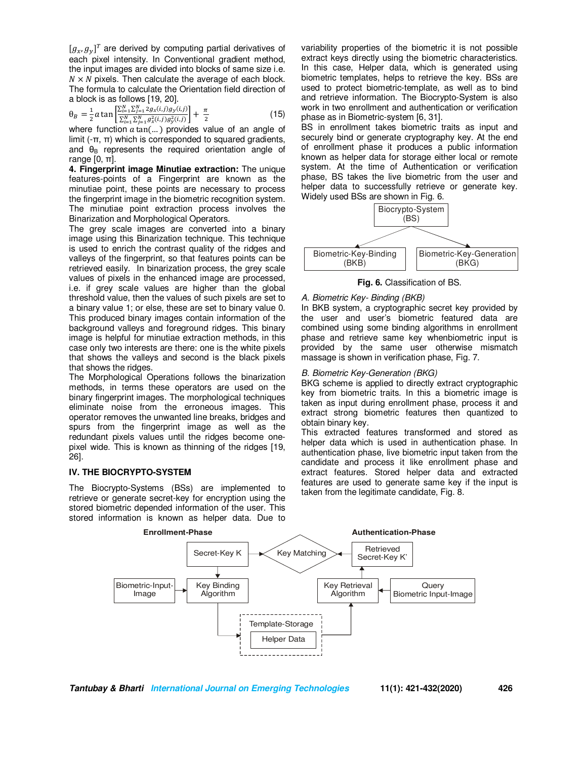$[g_x, g_y]^T$  are derived by computing partial derivatives of each pixel intensity. In Conventional gradient method, the input images are divided into blocks of same size i.e.  $N \times N$  pixels. Then calculate the average of each block. The formula to calculate the Orientation field direction of a block is as follows [19, 20].

$$
\theta_B = \frac{1}{2} a \tan \left[ \frac{\sum_{i=1}^{N} \sum_{j=1}^{N} 2g_x(i,j)g_y(i,j)}{\sum_{i=1}^{N} \sum_{j=1}^{N} g_x^2(i,j)g_y^2(i,j)} \right] + \frac{\pi}{2}
$$
(15)

where function  $a \tan(...)$  provides value of an angle of limit  $(-\pi, \pi)$  which is corresponded to squared gradients, and  $\theta_B$  represents the required orientation angle of range  $[0, \pi]$ .

**4. Fingerprint image Minutiae extraction:** The unique features-points of a Fingerprint are known as the minutiae point, these points are necessary to process the fingerprint image in the biometric recognition system. The minutiae point extraction process involves the Binarization and Morphological Operators.

The grey scale images are converted into a binary image using this Binarization technique. This technique is used to enrich the contrast quality of the ridges and valleys of the fingerprint, so that features points can be retrieved easily. In binarization process, the grey scale values of pixels in the enhanced image are processed, i.e. if grey scale values are higher than the global threshold value, then the values of such pixels are set to a binary value 1; or else, these are set to binary value 0. This produced binary images contain information of the background valleys and foreground ridges. This binary image is helpful for minutiae extraction methods, in this case only two interests are there: one is the white pixels that shows the valleys and second is the black pixels that shows the ridges.

The Morphological Operations follows the binarization methods, in terms these operators are used on the binary fingerprint images. The morphological techniques eliminate noise from the erroneous images. This operator removes the unwanted line breaks, bridges and spurs from the fingerprint image as well as the redundant pixels values until the ridges become onepixel wide. This is known as thinning of the ridges [19, 26].

# **IV. THE BIOCRYPTO-SYSTEM**

The Biocrypto-Systems (BSs) are implemented to retrieve or generate secret-key for encryption using the stored biometric depended information of the user. This stored information is known as helper data. Due to

variability properties of the biometric it is not possible extract keys directly using the biometric characteristics. In this case, Helper data, which is generated using biometric templates, helps to retrieve the key. BSs are used to protect biometric-template, as well as to bind and retrieve information. The Biocrypto-System is also work in two enrollment and authentication or verification phase as in Biometric-system [6, 31].

BS in enrollment takes biometric traits as input and securely bind or generate cryptography key. At the end of enrollment phase it produces a public information known as helper data for storage either local or remote system. At the time of Authentication or verification phase, BS takes the live biometric from the user and helper data to successfully retrieve or generate key. Widely used BSs are shown in Fig. 6.



**Fig. 6.** Classification of BS.

# *A. Biometric Key- Binding (BKB)*

In BKB system, a cryptographic secret key provided by the user and user's biometric featured data are combined using some binding algorithms in enrollment phase and retrieve same key whenbiometric input is provided by the same user otherwise mismatch massage is shown in verification phase, Fig. 7.

# *B. Biometric Key-Generation (BKG)*

BKG scheme is applied to directly extract cryptographic key from biometric traits. In this a biometric image is taken as input during enrollment phase, process it and extract strong biometric features then quantized to obtain binary key.

This extracted features transformed and stored as helper data which is used in authentication phase. In authentication phase, live biometric input taken from the candidate and process it like enrollment phase and extract features. Stored helper data and extracted features are used to generate same key if the input is taken from the legitimate candidate, Fig. 8.

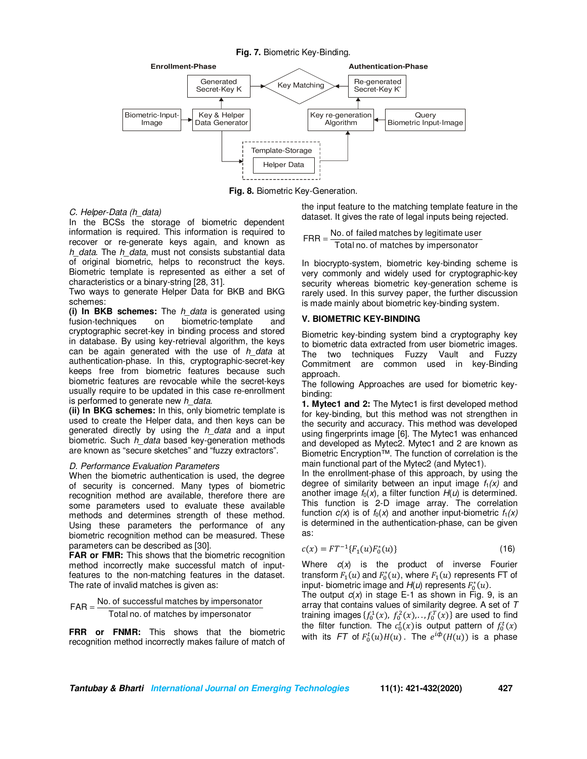**Fig. 7.** Biometric Key-Binding.



**Fig. 8.** Biometric Key-Generation.

# *C. Helper-Data (h\_data)*

In the BCSs the storage of biometric dependent information is required. This information is required to recover or re-generate keys again, and known as *h\_data*. The *h\_data*, must not consists substantial data of original biometric, helps to reconstruct the keys. Biometric template is represented as either a set of characteristics or a binary-string [28, 31].

Two ways to generate Helper Data for BKB and BKG schemes:

**(i) In BKB schemes:** The *h\_data* is generated using on biometric-template and cryptographic secret-key in binding process and stored in database. By using key-retrieval algorithm, the keys can be again generated with the use of *h\_data* at authentication-phase. In this, cryptographic-secret-key keeps free from biometric features because such biometric features are revocable while the secret-keys usually require to be updated in this case re-enrollment is performed to generate new *h\_data*.

**(ii) In BKG schemes:** In this, only biometric template is used to create the Helper data, and then keys can be generated directly by using the *h\_data* and a input biometric. Such *h\_data* based key-generation methods are known as "secure sketches" and "fuzzy extractors".

#### *D. Performance Evaluation Parameters*

When the biometric authentication is used, the degree of security is concerned. Many types of biometric recognition method are available, therefore there are some parameters used to evaluate these available methods and determines strength of these method. Using these parameters the performance of any biometric recognition method can be measured. These parameters can be described as [30].

**FAR or FMR:** This shows that the biometric recognition method incorrectly make successful match of inputfeatures to the non-matching features in the dataset. The rate of invalid matches is given as:

 $\mathsf{FAR} = \frac{\mathsf{No.~of~successful~matches~by~impersonator}}{\mathsf{Total~no.~of~matches~by~impersonator}}$ =

**FRR or FNMR:** This shows that the biometric recognition method incorrectly makes failure of match of the input feature to the matching template feature in the dataset. It gives the rate of legal inputs being rejected.

# $FRR = \frac{No. of failed matches by legitimate user}$ Total no. of matches by impersonator

In biocrypto-system, biometric key-binding scheme is very commonly and widely used for cryptographic-key security whereas biometric key-generation scheme is rarely used. In this survey paper, the further discussion is made mainly about biometric key-binding system.

# **V. BIOMETRIC KEY-BINDING**

Biometric key-binding system bind a cryptography key to biometric data extracted from user biometric images. The two techniques Fuzzy Vault and Fuzzy Commitment are common used in key-Binding approach.

The following Approaches are used for biometric keybinding:

**1. Mytec1 and 2:** The Mytec1 is first developed method for key-binding, but this method was not strengthen in the security and accuracy. This method was developed using fingerprints image [6]. The Mytec1 was enhanced and developed as Mytec2. Mytec1 and 2 are known as Biometric Encryption™. The function of correlation is the main functional part of the Mytec2 (and Mytec1).

In the enrollment-phase of this approach, by using the degree of similarity between an input image  $f_1(x)$  and another image  $f_0(x)$ , a filter function  $H(u)$  is determined. This function is 2-D image array. The correlation function  $c(x)$  is of  $f_0(x)$  and another input-biometric  $f_1(x)$ is determined in the authentication-phase, can be given as:

$$
c(x) = FT^{-1}{F_1(u)F_0^*(u)}
$$
\n(16)

Where *c*(*x*) is the product of inverse Fourier transform  $F_1(u)$  and  $F_0^*(u)$ , where  $F_1(u)$  represents FT of input- biometric image and  $H(u)$  represents  $F_0^*(u)$ .

The output  $c(x)$  in stage E-1 as shown in Fig. 9, is an array that contains values of similarity degree. A set of *T* training images  $\{f_0^1(x), f_0^2(x),..., f_0^T(x)\}$  are used to find the filter function. The  $c_0^t(x)$  is output pattern of  $f_0^t(x)$ with its FT of  $F_0^t(u)H(u)$ . The  $e^{i\phi}(H(u))$  is a phase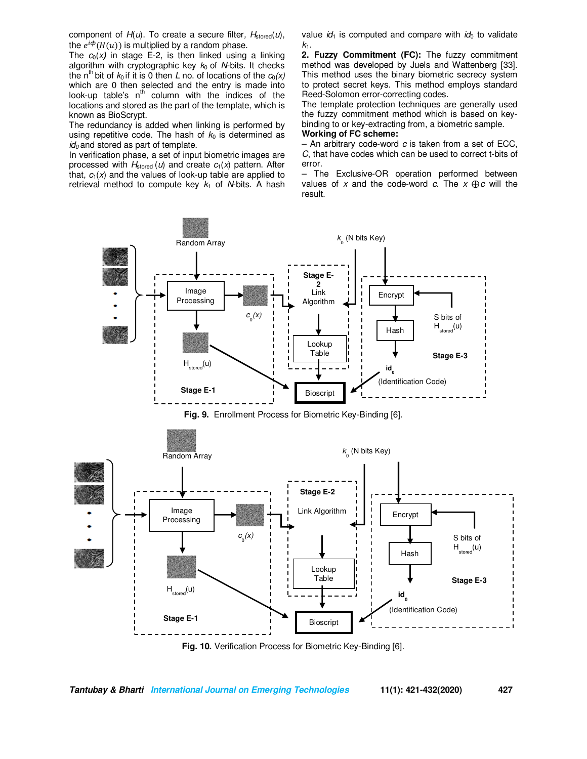component of *H*(*u*). To create a secure filter*, H*stored(*u*), the  $e^{i\phi}(H(u))$  is multiplied by a random phase.

The  $c_0(x)$  in stage E-2, is then linked using a linking algorithm with cryptographic key *k*0 of *N*-bits. It checks the n<sup>th</sup> bit of  $k_0$  if it is 0 then *L* no. of locations of the  $c_0(x)$ which are 0 then selected and the entry is made into look-up table's  $n^{th}$  column with the indices of the locations and stored as the part of the template, which is known as BioScrypt.

The redundancy is added when linking is performed by using repetitive code. The hash of  $k_0$  is determined as *id0* and stored as part of template.

In verification phase, a set of input biometric images are processed with  $H_{\text{stored}}(u)$  and create  $c_1(x)$  pattern. After that,  $c_1(x)$  and the values of look-up table are applied to retrieval method to compute key  $k_1$  of *N*-bits. A hash value  $id_1$  is computed and compare with  $id_0$  to validate  $k_1$ .

**2. Fuzzy Commitment (FC):** The fuzzy commitment method was developed by Juels and Wattenberg [33]. This method uses the binary biometric secrecy system to protect secret keys. This method employs standard Reed-Solomon error-correcting codes.

The template protection techniques are generally used the fuzzy commitment method which is based on keybinding to or key-extracting from, a biometric sample.

# **Working of FC scheme:**

– An arbitrary code-word *c* is taken from a set of ECC, *C*, that have codes which can be used to correct t-bits of error.

– The Exclusive-OR operation performed between values of *x* and the code-word *c*. The *x* ⊕*c* will the result.



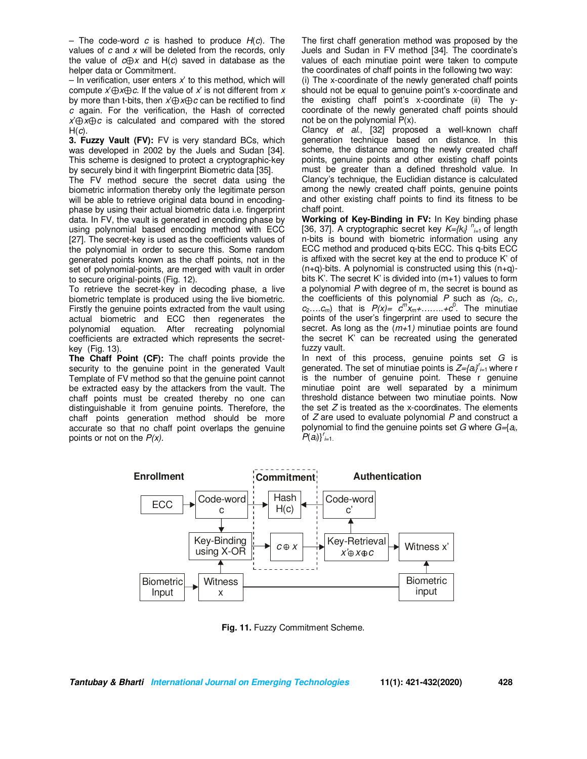– The code-word *c* is hashed to produce *H*(*c*)*.* The values of *c* and *x* will be deleted from the records*,* only the value of *c*⊕*x* and H(*c*) saved in database as the helper data or Commitment*.*

– In verification, user enters *x*' to this method, which will compute *x*'⊕*x*⊕*c*. If the value of *x*' is not different from *x* by more than t-bits, then *x*'⊕*x*⊕*c* can be rectified to find *c* again. For the verification, the Hash of corrected *x*'⊕*x*⊕*c* is calculated and compared with the stored H(*c*)*.*

**3. Fuzzy Vault (FV):** FV is very standard BCs, which was developed in 2002 by the Juels and Sudan [34]. This scheme is designed to protect a cryptographic-key by securely bind it with fingerprint Biometric data [35].

The FV method secure the secret data using the biometric information thereby only the legitimate person will be able to retrieve original data bound in encodingphase by using their actual biometric data i.e. fingerprint data. In FV, the vault is generated in encoding phase by using polynomial based encoding method with ECC [27]. The secret-key is used as the coefficients values of the polynomial in order to secure this. Some random generated points known as the chaff points, not in the set of polynomial-points, are merged with vault in order to secure original-points (Fig. 12).

To retrieve the secret-key in decoding phase, a live biometric template is produced using the live biometric. Firstly the genuine points extracted from the vault using actual biometric and ECC then regenerates the polynomial equation. After recreating polynomial coefficients are extracted which represents the secretkey (Fig. 13).

**The Chaff Point (CF):** The chaff points provide the security to the genuine point in the generated Vault Template of FV method so that the genuine point cannot be extracted easy by the attackers from the vault. The chaff points must be created thereby no one can distinguishable it from genuine points. Therefore, the chaff points generation method should be more accurate so that no chaff point overlaps the genuine points or not on the *P(x).* 

The first chaff generation method was proposed by the Juels and Sudan in FV method [34]. The coordinate's values of each minutiae point were taken to compute the coordinates of chaff points in the following two way:

(i) The x-coordinate of the newly generated chaff points should not be equal to genuine point's x-coordinate and the existing chaff point's x-coordinate (ii) The ycoordinate of the newly generated chaff points should not be on the polynomial  $P(x)$ .

Clancy *et al*., [32] proposed a well-known chaff generation technique based on distance. In this scheme, the distance among the newly created chaff points, genuine points and other existing chaff points must be greater than a defined threshold value. In Clancy's technique, the Euclidian distance is calculated among the newly created chaff points, genuine points and other existing chaff points to find its fitness to be chaff point.

**Working of Key-Binding in FV:** In Key binding phase [36, 37]. A cryptographic secret key  $K=\{k_i\}_{i=1}^n$  of length n-bits is bound with biometric information using any ECC method and produced q-bits ECC. This q-bits ECC is affixed with the secret key at the end to produce K' of  $(n+q)$ -bits. A polynomial is constructed using this  $(n+q)$ bits K'. The secret K' is divided into  $(m+1)$  values to form a polynomial *P* with degree of m, the secret is bound as the coefficients of this polynomial *P* such as *(c*0*, c*1*,*   $c_2...c_m$ ) that is  $P(x) = c^m x_m + \ldots + c^0$ . The minutiae points of the user's fingerprint are used to secure the secret. As long as the (*m+*1*)* minutiae points are found the secret K' can be recreated using the generated fuzzy vault.

In next of this process, genuine points set *G* is generated. The set of minutiae points is *Z={ai} r i=*<sup>1</sup>where r is the number of genuine point. These r genuine minutiae point are well separated by a minimum threshold distance between two minutiae points. Now the set *Z* is treated as the x-coordinates. The elements of *Z* are used to evaluate polynomial *P* and construct a polynomial to find the genuine points set *G* where *G=*{*ai, P*(*ai*)}*<sup>r</sup> i=*1*.*



**Fig. 11.** Fuzzy Commitment Scheme.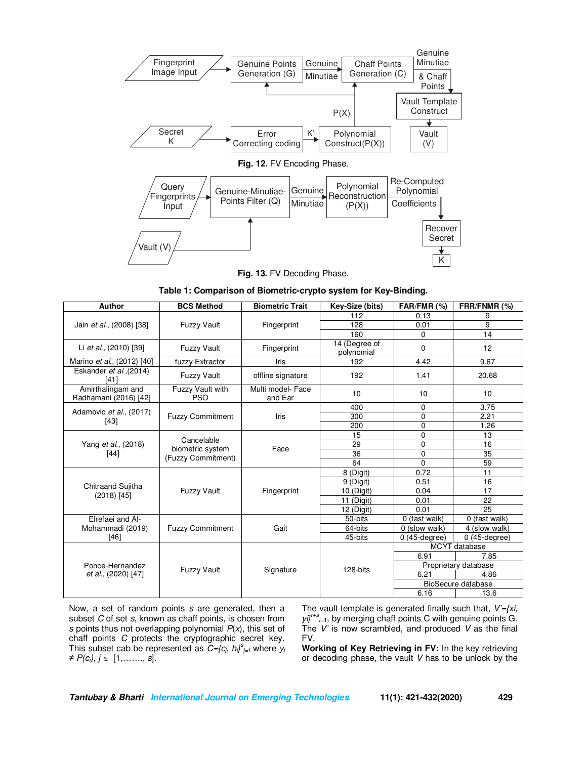

**Fig. 13.** FV Decoding Phase.

**Table 1: Comparison of Biometric-crypto system for Key-Binding.** 

| <b>Author</b>                                | <b>BCS Method</b>                                    | <b>Biometric Trait</b>       | Key-Size (bits)             | FAR/FMR (%)        | FRR/FNMR (%)         |
|----------------------------------------------|------------------------------------------------------|------------------------------|-----------------------------|--------------------|----------------------|
| Jain et al., (2008) [38]                     | <b>Fuzzy Vault</b>                                   | Fingerprint                  | 112                         | 0.13               | 9                    |
|                                              |                                                      |                              | 128                         | 0.01               | 9                    |
|                                              |                                                      |                              | 160                         | $\Omega$           | 14                   |
| Li et al., (2010) [39]                       | <b>Fuzzy Vault</b>                                   | Fingerprint                  | 14 (Degree of<br>polynomial | 0                  | 12                   |
| Marino et al., (2012) [40]                   | fuzzy Extractor                                      | Iris                         | 192                         | 4.42               | 9.67                 |
| Eskander et al., (2014)<br>[41]              | <b>Fuzzy Vault</b>                                   | offline signature            | 192                         | 1.41               | 20.68                |
| Amirthalingam and<br>Radhamani (2016) [42]   | Fuzzy Vault with<br><b>PSO</b>                       | Multi model- Face<br>and Ear | 10                          | 10                 | 10                   |
| Adamovic et al., (2017)<br>$[43]$            | <b>Fuzzy Commitment</b>                              | Iris                         | 400                         | $\Omega$           | 3.75                 |
|                                              |                                                      |                              | 300                         | $\mathbf 0$        | 2.21                 |
|                                              |                                                      |                              | 200                         | $\mathbf 0$        | 1.26                 |
|                                              | Cancelable<br>biometric system<br>(Fuzzy Commitment) | Face                         | 15                          | $\Omega$           | 13                   |
| Yang et al., (2018)<br>[44]                  |                                                      |                              | 29                          | $\overline{0}$     | $\overline{16}$      |
|                                              |                                                      |                              | 36                          | $\mathbf 0$        | 35                   |
|                                              |                                                      |                              | 64                          | $\Omega$           | 59                   |
| Chitraand Sujitha<br>$(2018)$ [45]           | <b>Fuzzy Vault</b>                                   | Fingerprint                  | 8 (Digit)                   | 0.72               | 11                   |
|                                              |                                                      |                              | 9 (Digit)                   | 0.51               | 16                   |
|                                              |                                                      |                              | 10 (Digit)                  | 0.04               | 17                   |
|                                              |                                                      |                              | 11 (Digit)                  | 0.01               | 22                   |
|                                              |                                                      |                              | 12 (Digit)                  | 0.01               | $\overline{25}$      |
| Elrefaei and Al-<br>Mohammadi (2019)<br>[46] | <b>Fuzzy Commitment</b>                              | Gait                         | 50-bits                     | 0 (fast walk)      | 0 (fast walk)        |
|                                              |                                                      |                              | 64-bits                     | 0 (slow walk)      | 4 (slow walk)        |
|                                              |                                                      |                              | 45-bits                     | $0(45-degree)$     | $0(45$ -degree)      |
| Ponce-Hernandez<br>et al., (2020) [47]       | <b>Fuzzy Vault</b>                                   | Signature                    | 128-bits                    | MCYT database      |                      |
|                                              |                                                      |                              |                             | 6.91               | 7.85                 |
|                                              |                                                      |                              |                             |                    | Proprietary database |
|                                              |                                                      |                              |                             | 6.21               | 4.86                 |
|                                              |                                                      |                              |                             | BioSecure database |                      |
|                                              |                                                      |                              |                             | 6.16               | 13.6                 |

Now, a set of random points *s* are generated, then a subset *C* of set *s*, known as chaff points, is chosen from *s* points thus not overlapping polynomial *P*(*x*), this set of chaff points *C* protects the cryptographic secret key. This subset cab be represented as  $C = \{c_j, h_j\}_{j=1}^s$  where  $y_i$ *≠ P(ci), j* ∈ [1*,……., s*]*.* 

The vault template is generated finally such that, *V'={xi, yi}r+s i=*<sup>1</sup>*,* by merging chaff points C with genuine points G. The *V'* is now scrambled, and produced *V* as the final FV.

**Working of Key Retrieving in FV:** In the key retrieving or decoding phase, the vault *V* has to be unlock by the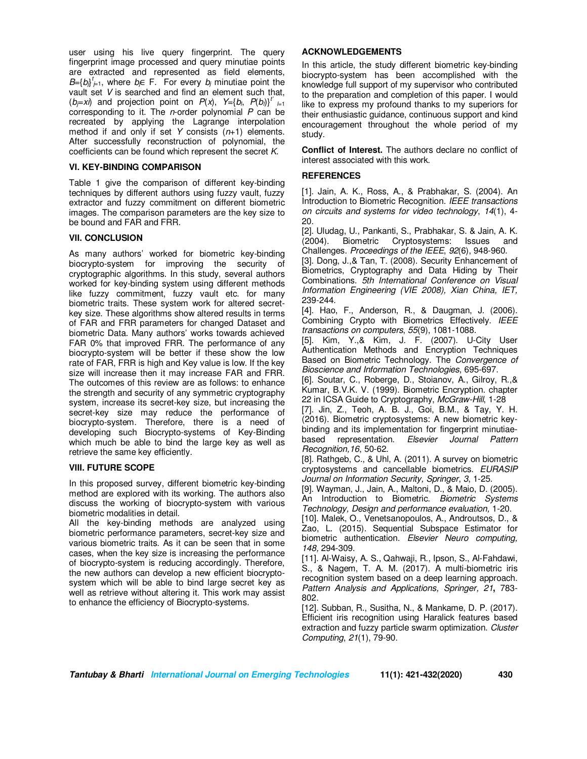user using his live query fingerprint. The query fingerprint image processed and query minutiae points are extracted and represented as field elements,  $B = \{b_j\}_{j=1}^t$ , where  $b_j \in F$ . For every  $b_j$  minutiae point the vault set *V* is searched and find an element such that, ( $b_j=x$ ) and projection point on  $P(x)$ ,  $Y=\{b_i, P(b_i)\}\}^{t'}$   $\neq$ corresponding to it. The *n*-order polynomial *P* can be recreated by applying the Lagrange interpolation method if and only if set *Y* consists (*n*+1) elements. After successfully reconstruction of polynomial, the coefficients can be found which represent the secret *K*.

## **VI. KEY-BINDING COMPARISON**

Table 1 give the comparison of different key-binding techniques by different authors using fuzzy vault, fuzzy extractor and fuzzy commitment on different biometric images. The comparison parameters are the key size to be bound and FAR and FRR.

## **VII. CONCLUSION**

As many authors' worked for biometric key-binding biocrypto-system for improving the security of cryptographic algorithms. In this study, several authors worked for key-binding system using different methods like fuzzy commitment, fuzzy vault etc. for many biometric traits. These system work for altered secretkey size. These algorithms show altered results in terms of FAR and FRR parameters for changed Dataset and biometric Data. Many authors' works towards achieved FAR 0% that improved FRR. The performance of any biocrypto-system will be better if these show the low rate of FAR, FRR is high and Key value is low. If the key size will increase then it may increase FAR and FRR. The outcomes of this review are as follows: to enhance the strength and security of any symmetric cryptography system, increase its secret-key size, but increasing the secret-key size may reduce the performance of biocrypto-system. Therefore, there is a need of developing such Biocrypto-systems of Key-Binding which much be able to bind the large key as well as retrieve the same key efficiently.

#### **VIII. FUTURE SCOPE**

In this proposed survey, different biometric key-binding method are explored with its working. The authors also discuss the working of biocrypto-system with various biometric modalities in detail.

All the key-binding methods are analyzed using biometric performance parameters, secret-key size and various biometric traits. As it can be seen that in some cases, when the key size is increasing the performance of biocrypto-system is reducing accordingly. Therefore, the new authors can develop a new efficient biocryptosystem which will be able to bind large secret key as well as retrieve without altering it. This work may assist to enhance the efficiency of Biocrypto-systems.

# **ACKNOWLEDGEMENTS**

In this article, the study different biometric key-binding biocrypto-system has been accomplished with the knowledge full support of my supervisor who contributed to the preparation and completion of this paper. I would like to express my profound thanks to my superiors for their enthusiastic guidance, continuous support and kind encouragement throughout the whole period of my study.

**Conflict of Interest.** The authors declare no conflict of interest associated with this work.

## **REFERENCES**

[1]. Jain, A. K., Ross, A., & Prabhakar, S. (2004). An Introduction to Biometric Recognition. *IEEE transactions on circuits and systems for video technology*, *14*(1), 4- 20.

[2]. Uludag, U., Pankanti, S., Prabhakar, S. & Jain, A. K. (2004). Biometric Cryptosystems: Issues and Challenges. *Proceedings of the IEEE*, *92*(6), 948-960.

[3]. Dong, J.,& Tan, T. (2008). Security Enhancement of Biometrics, Cryptography and Data Hiding by Their Combinations. *5th International Conference on Visual Information Engineering (VIE 2008), Xian China, IET,*  239-244.

[4]. Hao, F., Anderson, R., & Daugman, J. (2006). Combining Crypto with Biometrics Effectively. *IEEE transactions on computers*, *55*(9), 1081-1088.

[5]. Kim, Y.,& Kim, J. F. (2007). U-City User Authentication Methods and Encryption Techniques Based on Biometric Technology. The *Convergence of Bioscience and Information Technologies*, 695-697.

[6]. Soutar, C., Roberge, D., Stoianov, A., Gilroy, R.,& Kumar, B.V.K. V. (1999). Biometric Encryption. chapter 22 in ICSA Guide to Cryptography, *McGraw-Hill*, 1-28

[7]. Jin, Z., Teoh, A. B. J., Goi, B.M., & Tay, Y. H. (2016). Biometric cryptosystems: A new biometric keybinding and its implementation for fingerprint minutiaebased representation. *Elsevier Journal Pattern Recognition,16*, 50-62.

[8]. Rathgeb, C., & Uhl, A. (2011). A survey on biometric cryptosystems and cancellable biometrics. *EURASIP Journal on Information Security, Springer*, *3*, 1-25.

[9]. Wayman, J., Jain, A., Maltoni, D., & Maio, D. (2005). An Introduction to Biometric. *Biometric Systems Technology, Design and performance evaluation,* 1-20.

[10]. Malek, O., Venetsanopoulos, A., Androutsos, D., & Zao, L. (2015). Sequential Subspace Estimator for biometric authentication. *Elsevier Neuro computing, 148,* 294-309.

[11]. Al-Waisy, A. S., Qahwaji, R., Ipson, S., Al-Fahdawi, S., & Nagem, T. A. M. (2017). A multi-biometric iris recognition system based on a deep learning approach. *Pattern Analysis and Applications, Springer, 21***,** 783- 802.

[12]. Subban, R., Susitha, N., & Mankame, D. P. (2017). Efficient iris recognition using Haralick features based extraction and fuzzy particle swarm optimization. *Cluster Computing*, *21*(1), 79-90.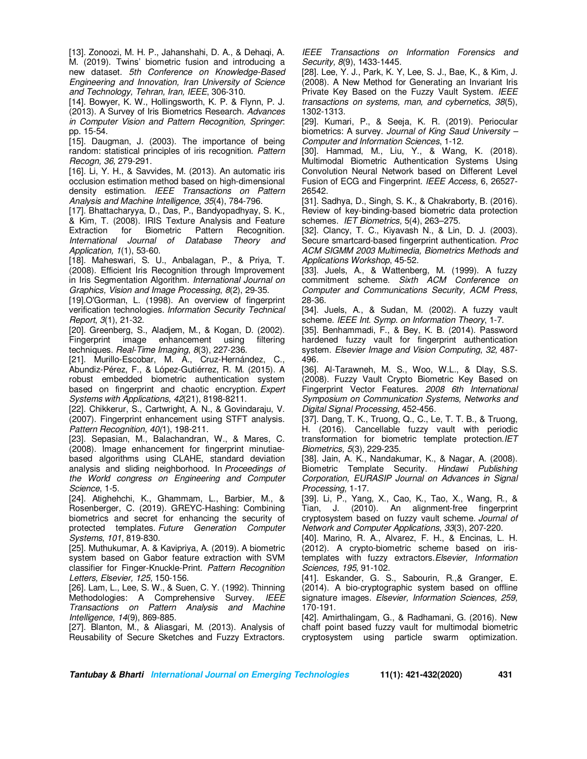[13]. Zonoozi, M. H. P., Jahanshahi, D. A., & Dehaqi, A. M. (2019). Twins' biometric fusion and introducing a new dataset. *5th Conference on Knowledge-Based Engineering and Innovation, Iran University of Science and Technology, Tehran, Iran, IEEE*, 306-310.

[14]. Bowyer, K. W., Hollingsworth, K. P. & Flynn, P. J. (2013). A Survey of Iris Biometrics Research. *Advances in Computer Vision and Pattern Recognition, Springer*: pp. 15-54.

[15]. Daugman, J. (2003). The importance of being random: statistical principles of iris recognition. *Pattern Recogn, 36,* 279-291.

[16]. Li, Y. H., & Savvides, M. (2013). An automatic iris occlusion estimation method based on high-dimensional density estimation. *IEEE Transactions on Pattern Analysis and Machine Intelligence, 35*(4), 784-796.

[17]. Bhattacharyya, D., Das, P., Bandyopadhyay, S. K., & Kim, T. (2008). IRIS Texture Analysis and Feature Extraction for Biometric *International Journal of Database Theory and Application, 1*(1), 53-60.

[18]. Maheswari, S. U., Anbalagan, P., & Priya, T. (2008). Efficient Iris Recognition through Improvement in Iris Segmentation Algorithm. *International Journal on Graphics, Vision and Image Processing*, *8*(2), 29-35.

[19].O'Gorman, L. (1998). An overview of fingerprint verification technologies. *Information Security Technical Report*, *3*(1), 21-32.

[20]. Greenberg, S., Aladjem, M., & Kogan, D. (2002). Fingerprint image enhancement using techniques. *Real-Time Imaging*, *8*(3), 227-236.

[21]. Murillo-Escobar, M. A., Cruz-Hernández, C., Abundiz-Pérez, F., & López-Gutiérrez, R. M. (2015). A robust embedded biometric authentication system based on fingerprint and chaotic encryption. *Expert Systems with Applications*, *42*(21), 8198-8211.

[22]. Chikkerur, S., Cartwright, A. N., & Govindaraju, V. (2007). Fingerprint enhancement using STFT analysis. *Pattern Recognition, 40(*1), 198-211.

[23]. Sepasian, M., Balachandran, W., & Mares, C. (2008). Image enhancement for fingerprint minutiaebased algorithms using CLAHE, standard deviation analysis and sliding neighborhood. In *Proceedings of the World congress on Engineering and Computer Science*, 1-5.

[24]. Atighehchi, K., Ghammam, L., Barbier, M., & Rosenberger, C. (2019). GREYC-Hashing: Combining biometrics and secret for enhancing the security of protected templates. *Future Generation Computer Systems*, *101*, 819-830.

[25]. Muthukumar, A. & Kavipriya, A. (2019). A biometric system based on Gabor feature extraction with SVM classifier for Finger-Knuckle-Print. *Pattern Recognition Letters, Elsevier, 125,* 150-156.

[26]. Lam, L., Lee, S. W., & Suen, C. Y. (1992). Thinning Methodologies: A Comprehensive Survey. *IEEE Transactions on Pattern Analysis and Machine Intelligence*, *14*(9), 869-885.

[27]. Blanton, M., & Aliasgari, M. (2013). Analysis of Reusability of Secure Sketches and Fuzzy Extractors.

*IEEE Transactions on Information Forensics and Security, 8*(9), 1433-1445.

[28]. Lee, Y. J., Park, K. Y, Lee, S. J., Bae, K., & Kim, J. (2008). A New Method for Generating an Invariant Iris Private Key Based on the Fuzzy Vault System. *IEEE transactions on systems, man, and cybernetics*, *38*(5), 1302-1313.

[29]. Kumari, P., & Seeja, K. R. (2019). Periocular biometrics: A survey. *Journal of King Saud University – Computer and Information Sciences*, 1-12.

[30]. Hammad, M., Liu, Y., & Wang, K. (2018). Multimodal Biometric Authentication Systems Using Convolution Neural Network based on Different Level Fusion of ECG and Fingerprint. *IEEE Access,* 6, 26527- 26542.

[31]. Sadhya, D., Singh, S. K., & Chakraborty, B. (2016). Review of key-binding-based biometric data protection schemes. *IET Biometrics,* 5(4), 263–275.

[32]. Clancy, T. C., Kiyavash N., & Lin, D. J. (2003). Secure smartcard-based fingerprint authentication. *Proc ACM SIGMM 2003 Multimedia, Biometrics Methods and Applications Workshop*, 45-52.

[33]. Juels, A., & Wattenberg, M. (1999). A fuzzy commitment scheme. *Sixth ACM Conference on Computer and Communications Security, ACM Press*, 28-36.

[34]. Juels, A., & Sudan, M. (2002). A fuzzy vault scheme. *IEEE Int. Symp. on Information Theory*, 1-7.

[35]. Benhammadi, F., & Bey, K. B. (2014). Password hardened fuzzy vault for fingerprint authentication system. *Elsevier Image and Vision Computing*, *32,* 487- 496.

[36]. Al-Tarawneh, M. S., Woo, W.L., & Dlay, S.S. (2008). Fuzzy Vault Crypto Biometric Key Based on Fingerprint Vector Features. *2008 6th International Symposium on Communication Systems, Networks and Digital Signal Processing*, 452-456.

[37]. Dang, T. K., Truong, Q., C., Le, T. T. B., & Truong, H. (2016). Cancellable fuzzy vault with periodic transformation for biometric template protection.*IET Biometrics, 5*(3), 229-235.

[38]. Jain, A. K., Nandakumar, K., & Nagar, A. (2008). Biometric Template Security. *Hindawi Publishing Corporation, EURASIP Journal on Advances in Signal Processing,* 1-17.

[39]. Li, P., Yang, X., Cao, K., Tao, X., Wang, R., & Tian, J. (2010). An alignment-free fingerprint cryptosystem based on fuzzy vault scheme. *Journal of Network and Computer Applications*, *33*(3), 207-220.

[40]. Marino, R. A., Alvarez, F. H., & Encinas, L. H. (2012). A crypto-biometric scheme based on iristemplates with fuzzy extractors.*Elsevier, Information Sciences, 195,* 91-102.

[41]. Eskander, G. S., Sabourin, R.,& Granger, E. (2014). A bio-cryptographic system based on offline signature images. *Elsevier, Information Sciences, 259,*  170-191.

[42]. Amirthalingam, G., & Radhamani, G. (2016). New chaff point based fuzzy vault for multimodal biometric cryptosystem using particle swarm optimization.